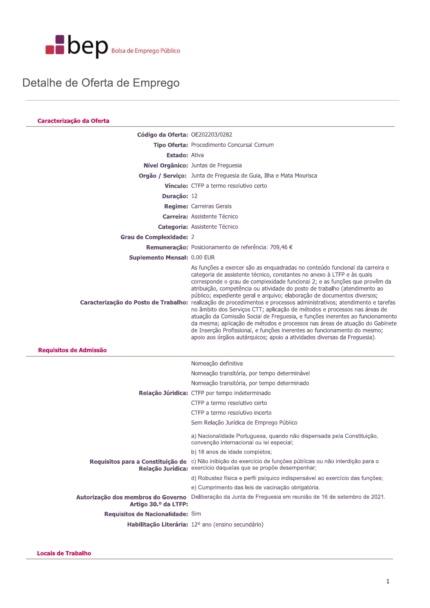

### Detalhe de Oferta de Emprego

| Caracterização da Oferta           |                                                                                                                                                                                                                                                                                                                                                                                                                                                                                                                                                                                                                                                                                                                                                                                                                                                                                                                         |
|------------------------------------|-------------------------------------------------------------------------------------------------------------------------------------------------------------------------------------------------------------------------------------------------------------------------------------------------------------------------------------------------------------------------------------------------------------------------------------------------------------------------------------------------------------------------------------------------------------------------------------------------------------------------------------------------------------------------------------------------------------------------------------------------------------------------------------------------------------------------------------------------------------------------------------------------------------------------|
| Código da Oferta: OE202203/0282    |                                                                                                                                                                                                                                                                                                                                                                                                                                                                                                                                                                                                                                                                                                                                                                                                                                                                                                                         |
|                                    | Tipo Oferta: Procedimento Concursal Comum                                                                                                                                                                                                                                                                                                                                                                                                                                                                                                                                                                                                                                                                                                                                                                                                                                                                               |
| <b>Estado: Ativa</b>               |                                                                                                                                                                                                                                                                                                                                                                                                                                                                                                                                                                                                                                                                                                                                                                                                                                                                                                                         |
|                                    | Nível Orgânico: Juntas de Freguesia                                                                                                                                                                                                                                                                                                                                                                                                                                                                                                                                                                                                                                                                                                                                                                                                                                                                                     |
|                                    | Orgão / Serviço: Junta de Freguesia de Guia, Ilha e Mata Mourisca                                                                                                                                                                                                                                                                                                                                                                                                                                                                                                                                                                                                                                                                                                                                                                                                                                                       |
|                                    | <b>Vínculo:</b> CTFP a termo resolutivo certo                                                                                                                                                                                                                                                                                                                                                                                                                                                                                                                                                                                                                                                                                                                                                                                                                                                                           |
| Duração: 12                        |                                                                                                                                                                                                                                                                                                                                                                                                                                                                                                                                                                                                                                                                                                                                                                                                                                                                                                                         |
|                                    | <b>Regime:</b> Carreiras Gerais                                                                                                                                                                                                                                                                                                                                                                                                                                                                                                                                                                                                                                                                                                                                                                                                                                                                                         |
|                                    | Carreira: Assistente Técnico                                                                                                                                                                                                                                                                                                                                                                                                                                                                                                                                                                                                                                                                                                                                                                                                                                                                                            |
|                                    | <b>Categoria: Assistente Técnico</b>                                                                                                                                                                                                                                                                                                                                                                                                                                                                                                                                                                                                                                                                                                                                                                                                                                                                                    |
| <b>Grau de Complexidade: 2</b>     |                                                                                                                                                                                                                                                                                                                                                                                                                                                                                                                                                                                                                                                                                                                                                                                                                                                                                                                         |
|                                    | Remuneração: Posicionamento de referência: 709,46 €                                                                                                                                                                                                                                                                                                                                                                                                                                                                                                                                                                                                                                                                                                                                                                                                                                                                     |
| <b>Suplemento Mensal: 0.00 EUR</b> |                                                                                                                                                                                                                                                                                                                                                                                                                                                                                                                                                                                                                                                                                                                                                                                                                                                                                                                         |
|                                    | As funções a exercer são as enquadradas no conteúdo funcional da carreira e<br>categoria de assistente técnico, constantes no anexo à LTFP e às quais<br>corresponde o grau de complexidade funcional 2; e as funções que provêm da<br>atribuição, competência ou atividade do posto de trabalho (atendimento ao<br>público; expediente geral e arquivo; elaboração de documentos diversos;<br>Caracterização do Posto de Trabalho: realização de procedimentos e processos administrativos; atendimento e tarefas<br>no âmbito dos Serviços CTT; aplicação de métodos e processos nas áreas de<br>atuação da Comissão Social de Freguesia, e funções inerentes ao funcionamento<br>da mesma; aplicação de métodos e processos nas áreas de atuação do Gabinete<br>de Inserção Profissional, e funções inerentes ao funcionamento do mesmo;<br>apoio aos órgãos autárquicos; apoio a atividades diversas da Freguesia). |
| Requisitos de Admissão             |                                                                                                                                                                                                                                                                                                                                                                                                                                                                                                                                                                                                                                                                                                                                                                                                                                                                                                                         |
|                                    | Nomeação definitiva                                                                                                                                                                                                                                                                                                                                                                                                                                                                                                                                                                                                                                                                                                                                                                                                                                                                                                     |
|                                    | Nomeação transitória, por tempo determinável                                                                                                                                                                                                                                                                                                                                                                                                                                                                                                                                                                                                                                                                                                                                                                                                                                                                            |
|                                    | Nomeação transitória, por tempo determinado                                                                                                                                                                                                                                                                                                                                                                                                                                                                                                                                                                                                                                                                                                                                                                                                                                                                             |
|                                    | Relação Júridica: CTFP por tempo indeterminado                                                                                                                                                                                                                                                                                                                                                                                                                                                                                                                                                                                                                                                                                                                                                                                                                                                                          |
|                                    | CTFP a termo resolutivo certo                                                                                                                                                                                                                                                                                                                                                                                                                                                                                                                                                                                                                                                                                                                                                                                                                                                                                           |
|                                    | CTFP a termo resolutivo incerto                                                                                                                                                                                                                                                                                                                                                                                                                                                                                                                                                                                                                                                                                                                                                                                                                                                                                         |
|                                    | Sem Relação Jurídica de Emprego Público                                                                                                                                                                                                                                                                                                                                                                                                                                                                                                                                                                                                                                                                                                                                                                                                                                                                                 |
|                                    | a) Nacionalidade Portuguesa, quando não dispensada pela Constituição,<br>convenção internacional ou lei especial;                                                                                                                                                                                                                                                                                                                                                                                                                                                                                                                                                                                                                                                                                                                                                                                                       |
|                                    | b) 18 anos de idade completos;                                                                                                                                                                                                                                                                                                                                                                                                                                                                                                                                                                                                                                                                                                                                                                                                                                                                                          |
|                                    | Requisitos para a Constituição de c) Não inibição do exercício de funções públicas ou não interdição para o<br>Relação Jurídica: exercício daquelas que se propõe desempenhar;                                                                                                                                                                                                                                                                                                                                                                                                                                                                                                                                                                                                                                                                                                                                          |
|                                    | d) Robustez física e perfil psíquico indispensável ao exercício das funções;                                                                                                                                                                                                                                                                                                                                                                                                                                                                                                                                                                                                                                                                                                                                                                                                                                            |
|                                    | e) Cumprimento das leis de vacinação obrigatória.                                                                                                                                                                                                                                                                                                                                                                                                                                                                                                                                                                                                                                                                                                                                                                                                                                                                       |
| Artigo 30.º da LTFP:               | Autorização dos membros do Governo Deliberação da Junta de Freguesia em reunião de 16 de setembro de 2021.                                                                                                                                                                                                                                                                                                                                                                                                                                                                                                                                                                                                                                                                                                                                                                                                              |
| Requisitos de Nacionalidade: Sim   |                                                                                                                                                                                                                                                                                                                                                                                                                                                                                                                                                                                                                                                                                                                                                                                                                                                                                                                         |
|                                    | Habilitação Literária: 12º ano (ensino secundário)                                                                                                                                                                                                                                                                                                                                                                                                                                                                                                                                                                                                                                                                                                                                                                                                                                                                      |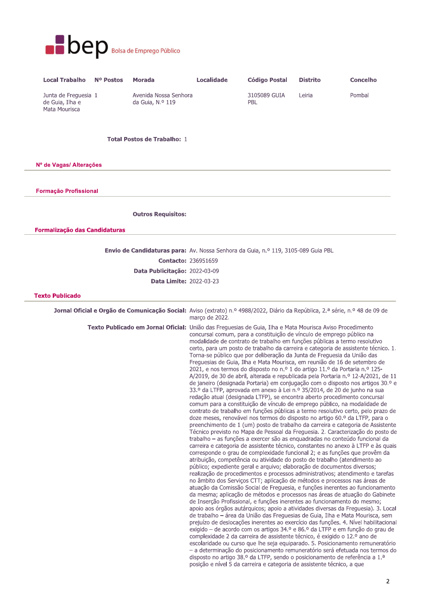

| <b>Local Trabalho</b>                                    | N <sup>o</sup> Postos | Morada                                    | Localidade | <b>Código Postal</b> | <b>Distrito</b> | <b>Concelho</b> |
|----------------------------------------------------------|-----------------------|-------------------------------------------|------------|----------------------|-----------------|-----------------|
| Junta de Freguesia 1<br>de Guia, Ilha e<br>Mata Mourisca |                       | Avenida Nossa Senhora<br>da Guia, N.º 119 |            | 3105089 GUIA<br>PBL  | Leiria          | Pombal          |

### **Total Postos de Trabalho: 1**

Nº de Vagas/ Alterações

**Formacão Profissional** 

**Outros Requisitos:** 

**Formalização das Candidaturas** 

Envio de Candidaturas para: Av. Nossa Senhora da Guia, n.º 119, 3105-089 Guia PBL **Contacto: 236951659** Data Publicitação: 2022-03-09

Data Limite: 2022-03-23

#### **Texto Publicado**

Jornal Oficial e Orgão de Comunicação Social: Aviso (extrato) n.º 4988/2022, Diário da República, 2.ª série, n.º 48 de 09 de março de 2022. Texto Publicado em Jornal Oficial: União das Freguesias de Guia, Ilha e Mata Mourisca Aviso Procedimento concursal comum, para a constituição de vínculo de emprego público na modalidade de contrato de trabalho em funções públicas a termo resolutivo certo, para um posto de trabalho da carreira e categoria de assistente técnico. 1. Torna-se público que por deliberação da Junta de Freguesia da União das Freguesias de Guia, Ilha e Mata Mourisca, em reunião de 16 de setembro de 2021, e nos termos do disposto no n.º 1 do artigo 11.º da Portaria n.º 125-A/2019, de 30 de abril, alterada e republicada pela Portaria n.º 12-A/2021, de 11 de janeiro (designada Portaria) em conjugação com o disposto nos artigos 30.º e 33.º da LTFP, aprovada em anexo à Lei n.º 35/2014, de 20 de junho na sua redação atual (designada LTFP), se encontra aberto procedimento concursal comum para a constituição de vínculo de emprego público, na modalidade de contrato de trabalho em funções públicas a termo resolutivo certo, pelo prazo de doze meses, renovável nos termos do disposto no artigo 60.º da LTFP, para o preenchimento de 1 (um) posto de trabalho da carreira e categoria de Assistente Técnico previsto no Mapa de Pessoal da Freguesia. 2. Caracterização do posto de trabalho - as funções a exercer são as enquadradas no conteúdo funcional da carreira e categoria de assistente técnico, constantes no anexo à LTFP e às quais corresponde o grau de complexidade funcional 2; e as funções que provêm da atribuição, competência ou atividade do posto de trabalho (atendimento ao público; expediente geral e arquivo; elaboração de documentos diversos; realização de procedimentos e processos administrativos; atendimento e tarefas no âmbito dos Servicos CTT; aplicação de métodos e processos nas áreas de atuação da Comissão Social de Freguesia, e funções inerentes ao funcionamento da mesma; aplicação de métodos e processos nas áreas de atuação do Gabinete de Inserção Profissional, e funções inerentes ao funcionamento do mesmo; apoio aos órgãos autárquicos; apoio a atividades diversas da Freguesia). 3. Local de trabalho - área da União das Freguesias de Guia, Ilha e Mata Mourisca, sem prejuízo de deslocações inerentes ao exercício das funções. 4. Nível habilitacional exigido – de acordo com os artigos 34.º e 86.º da LTFP e em função do grau de complexidade 2 da carreira de assistente técnico, é exigido o 12.º ano de escolaridade ou curso que lhe seja equiparado. 5. Posicionamento remuneratório - a determinação do posicionamento remuneratório será efetuada nos termos do disposto no artigo 38.º da LTFP, sendo o posicionamento de referência a 1.ª posição e nível 5 da carreira e categoria de assistente técnico, a que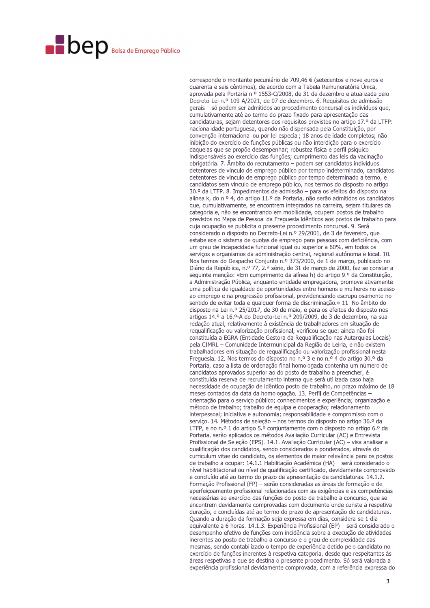# **Dep** Bolsa de Emprego Público

corresponde o montante pecuniário de 709,46 € (setecentos e nove euros e quarenta e seis cêntimos), de acordo com a Tabela Remuneratória Única, aprovada pela Portaria n.º 1553-C/2008, de 31 de dezembro e atualizada pelo Decreto-Lei n.º 109-A/2021, de 07 de dezembro. 6. Requisitos de admissão gerais - só podem ser admitidos ao procedimento concursal os indivíduos que, cumulativamente até ao termo do prazo fixado para apresentação das candidaturas, sejam detentores dos requisitos previstos no artigo 17.º da LTFP: nacionalidade portuguesa, quando não dispensada pela Constituição, por convenção internacional ou por lei especial; 18 anos de idade completos; não inibicão do exercício de funcões públicas ou não interdição para o exercício daquelas que se propõe desempenhar; robustez física e perfil psíquico indispensáveis ao exercício das funções: cumprimento das leis da vacinação obrigatória. 7. Ambito do recrutamento – podem ser candidatos indivíduos detentores de vínculo de emprego público por tempo indeterminado, candidatos detentores de vínculo de emprego público por tempo determinado a termo, e candidatos sem vínculo de emprego público, nos termos do disposto no artigo 30.º da LTFP. 8. Impedimentos de admissão - para os efeitos do disposto na alínea k, do n.º 4, do artigo 11.º da Portaria, não serão admitidos os candidatos que, cumulativamente, se encontrem integrados na carreira, sejam titulares da categoria e, não se encontrando em mobilidade, ocupem postos de trabalho previstos no Mapa de Pessoal da Freguesia idênticos aos postos de trabalho para cuja ocupação se publicita o presente procedimento concursal. 9. Será considerado o disposto no Decreto-Lei n.º 29/2001, de 3 de fevereiro, que estabelece o sistema de quotas de emprego para pessoas com deficiência, com um grau de incapacidade funcional igual ou superior a 60%, em todos os serviços e organismos da administração central, regional autónoma e local. 10. Nos termos do Despacho Conjunto n.º 373/2000, de 1 de março, publicado no Diário da República, n.º 77, 2.ª série, de 31 de março de 2000, faz-se constar a seguinte menção: «Em cumprimento da alínea h) do artigo 9.º da Constituição, a Administração Pública, enquanto entidade empregadora, promove ativamente uma política de igualdade de oportunidades entre homens e mulheres no acesso ao emprego e na progressão profissional, providenciando escrupulosamente no sentido de evitar toda e qualquer forma de discriminação.» 11. No âmbito do disposto na Lei n.º 25/2017, de 30 de maio, e para os efeitos do disposto nos artigos 14.º a 16.º-A do Decreto-Lei n.º 209/2009, de 3 de dezembro, na sua redação atual, relativamente à existência de trabalhadores em situação de requalificação ou valorização profissional, verificou-se que: ainda não foi constituída a EGRA (Entidade Gestora da Requalificação nas Autarquias Locais) pela CIMRL - Comunidade Intermunicipal da Região de Leiria, e não existem trabalhadores em situação de requalificação ou valorização profissional nesta Freguesia. 12. Nos termos do disposto no n.º 3 e no n.º 4 do artigo 30.º da Portaria, caso a lista de ordenação final homologada contenha um número de candidatos aprovados superior ao do posto de trabalho a preencher, é constituída reserva de recrutamento interna que será utilizada caso haja necessidade de ocupação de idêntico posto de trabalho, no prazo máximo de 18 meses contados da data da homologação, 13, Perfil de Competências orientação para o serviço público; conhecimentos e experiência; organização e método de trabalho; trabalho de equipa e cooperação; relacionamento interpessoal; iniciativa e autonomia; responsabilidade e compromisso com o serviço. 14. Métodos de seleção - nos termos do disposto no artigo 36.º da LTFP, e no n.º 1 do artigo 5.º conjuntamente com o disposto no artigo 6.º da Portaria, serão aplicados os métodos Avaliação Curricular (AC) e Entrevista Profissional de Seleção (EPS). 14.1. Avaliação Curricular (AC) - visa analisar a qualificação dos candidatos, sendo considerados e ponderados, através do curriculum vitae do candidato, os elementos de maior relevância para os postos de trabalho a ocupar: 14.1.1 Habilitação Académica (HA) - será considerado o nível habilitacional ou nível de qualificação certificado, devidamente comprovado e concluído até ao termo do prazo de apresentação de candidaturas, 14.1.2. Formação Profissional (FP) - serão consideradas as áreas de formação e de aperfeicoamento profissional relacionadas com as exigências e as competências necessárias ao exercício das funções do posto de trabalho a concurso, que se encontrem devidamente comprovadas com documento onde conste a respetiva duração, e concluídas até ao termo do prazo de apresentação de candidaturas. Quando a duração da formação seja expressa em dias, considera-se 1 dia equivalente a 6 horas. 14.1.3. Experiência Profissional (EP) - será considerado o desempenho efetivo de funções com incidência sobre a execução de atividades inerentes ao posto de trabalho a concurso e o grau de complexidade das mesmas, sendo contabilizado o tempo de experiência detido pelo candidato no exercício de funções inerentes à respetiva categoria, desde que respeitantes às áreas respetivas a que se destina o presente procedimento. Só será valorada a experiência profissional devidamente comprovada, com a referência expressa do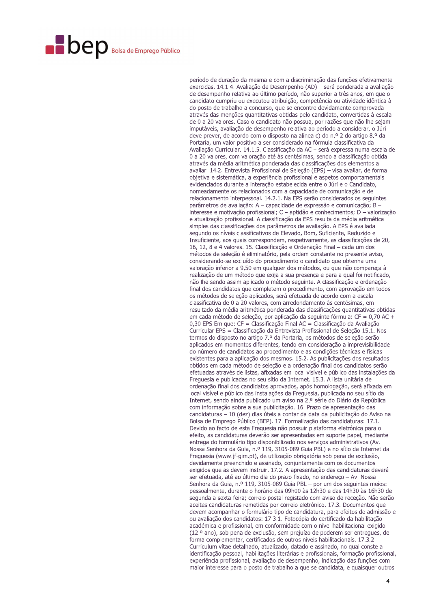## **Dep** Bolsa de Emprego Público

período de duração da mesma e com a discriminação das funções efetivamente exercidas. 14.1.4. Avaliação de Desempenho (AD) - será ponderada a avaliação de desempenho relativa ao último período, não superior a três anos, em que o candidato cumpriu ou executou atribuição, competência ou atividade idêntica à do posto de trabalho a concurso, que se encontre devidamente comprovada através das menções quantitativas obtidas pelo candidato, convertidas à escala de 0 a 20 valores. Caso o candidato não possua, por razões que não lhe sejam imputáveis, avaliação de desempenho relativa ao período a considerar, o Júri deve prever, de acordo com o disposto na alínea c) do n.º 2 do artigo 8.º da Portaria, um valor positivo a ser considerado na fórmula classificativa da Avaliação Curricular. 14.1.5. Classificação da AC - será expressa numa escala de 0 a 20 valores, com valoração até às centésimas, sendo a classificação obtida através da média aritmética ponderada das classificações dos elementos a avaliar. 14.2. Entrevista Profissional de Seleção (EPS) - visa avaliar, de forma objetiva e sistemática, a experiência profissional e aspetos comportamentais evidenciados durante a interação estabelecida entre o Júri e o Candidato, nomeadamente os relacionados com a capacidade de comunicação e de relacionamento interpessoal. 14.2.1. Na EPS serão considerados os seguintes parâmetros de avaliação: A - capacidade de expressão e comunicação; B interesse e motivação profissional;  $C -$ aptidão e conhecimentos;  $D -$ valorização e atualização profissional. A classificação da EPS resulta da média aritmética simples das classificações dos parâmetros de avaliação. A EPS é avaliada segundo os níveis classificativos de Elevado, Bom, Suficiente, Reduzido e Insuficiente, aos quais correspondem, respetivamente, as classificações de 20, 16, 12, 8 e 4 valores. 15. Classificação e Ordenação Final - cada um dos métodos de seleção é eliminatório, pela ordem constante no presente aviso, considerando-se excluído do procedimento o candidato que obtenha uma valoração inferior a 9,50 em qualquer dos métodos, ou que não compareça à realização de um método que exija a sua presença e para a qual foi notificado, não lhe sendo assim aplicado o método seguinte. A classificação e ordenação final dos candidatos que completem o procedimento, com aprovação em todos os métodos de seleção aplicados, será efetuada de acordo com a escala classificativa de 0 a 20 valores, com arredondamento às centésimas, em resultado da média aritmética ponderada das classificações quantitativas obtidas em cada método de seleção, por aplicação da sequinte fórmula:  $CF = 0.70$  AC + 0,30 EPS Em que: CF = Classificação Final AC = Classificação da Avaliação Curricular EPS = Classificação da Entrevista Profissional de Seleção 15.1. Nos termos do disposto no artigo 7.º da Portaria, os métodos de seleção serão aplicados em momentos diferentes, tendo em consideração a imprevisibilidade do número de candidatos ao procedimento e as condições técnicas e físicas existentes para a aplicação dos mesmos. 15.2. As publicitações dos resultados obtidos em cada método de seleção e a ordenação final dos candidatos serão efetuadas através de listas, afixadas em local visível e público das instalações da Frequesia e publicadas no seu sítio da Internet. 15.3. A lista unitária de ordenação final dos candidatos aprovados, após homologação, será afixada em local visível e público das instalações da Freguesia, publicada no seu sítio da Internet, sendo ainda publicado um aviso na 2.ª série do Diário da República com informação sobre a sua publicitação. 16. Prazo de apresentação das candidaturas - 10 (dez) dias úteis a contar da data da publicitação do Aviso na Bolsa de Emprego Público (BEP). 17. Formalização das candidaturas: 17.1. Devido ao facto de esta Freguesia não possuir plataforma eletrónica para o efeito, as candidaturas deverão ser apresentadas em suporte papel, mediante entrega do formulário tipo disponibilizado nos servicos administrativos (Av. Nossa Senhora da Guia, n.º 119, 3105-089 Guia PBL) e no sítio da Internet da Freguesia (www.jf-gim.pt), de utilização obrigatória sob pena de exclusão, devidamente preenchido e assinado, conjuntamente com os documentos exigidos que as devem instruir. 17.2. A apresentação das candidaturas deverá ser efetuada, até ao último dia do prazo fixado, no endereço - Av. Nossa Senhora da Guia, n.º 119, 3105-089 Guia PBL - por um dos seguintes meios: pessoalmente, durante o horário das 09h00 às 12h30 e das 14h30 às 16h30 de segunda a sexta-feira; correio postal registado com aviso de receção. Não serão aceites candidaturas remetidas por correio eletrónico. 17.3. Documentos que devem acompanhar o formulário tipo de candidatura, para efeitos de admissão e ou avaliação dos candidatos: 17.3.1. Fotocópia do certificado da habilitação académica e profissional, em conformidade com o nível habilitacional exigido (12.º ano), sob pena de exclusão, sem prejuízo de poderem ser entregues, de forma complementar, certificados de outros níveis habilitacionais, 17.3.2. Curriculum vitae detalhado, atualizado, datado e assinado, no qual conste a identificação pessoal, habilitações literárias e profissionais, formação profissional, experiência profissional, avaliação de desempenho, indicação das funções com maior interesse para o posto de trabalho a que se candidata, e quaisquer outros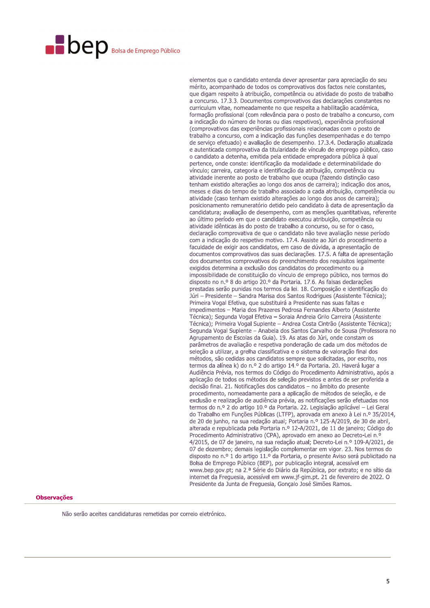# **Dep** Bolsa de Emprego Público

elementos que o candidato entenda dever apresentar para apreciação do seu mérito, acompanhado de todos os comprovativos dos factos nele constantes, que digam respeito à atribuição, competência ou atividade do posto de trabalho a concurso. 17.3.3. Documentos comprovativos das declarações constantes no curriculum vitae, nomeadamente no que respeita a habilitação académica, formação profissional (com relevância para o posto de trabalho a concurso, com a indicação do número de horas ou dias respetivos), experiência profissional (comprovativos das experiências profissionais relacionadas com o posto de trabalho a concurso, com a indicação das funções desempenhadas e do tempo de servico efetuado) e avaliação de desempenho. 17.3.4. Declaração atualizada e autenticada comprovativa da titularidade de vínculo de emprego público, caso o candidato a detenha, emitida pela entidade empregadora pública à qual pertence, onde conste: identificação da modalidade e determinabilidade do vínculo; carreira, categoria e identificação da atribuição, competência ou atividade inerente ao posto de trabalho que ocupa (fazendo distinção caso tenham existido alterações ao longo dos anos de carreira); indicação dos anos, meses e dias do tempo de trabalho associado a cada atribuição, competência ou atividade (caso tenham existido alterações ao longo dos anos de carreira); posicionamento remuneratório detido pelo candidato à data de apresentação da candidatura; avaliação de desempenho, com as menções quantitativas, referente ao último período em que o candidato executou atribuição, competência ou atividade idênticas às do posto de trabalho a concurso, ou se for o caso, declaração comprovativa de que o candidato não teve avaliação nesse período com a indicação do respetivo motivo. 17.4. Assiste ao Júri do procedimento a faculdade de exigir aos candidatos, em caso de dúvida, a apresentação de documentos comprovativos das suas declarações. 17.5. A falta de apresentação dos documentos comprovativos do preenchimento dos requisitos legalmente exigidos determina a exclusão dos candidatos do procedimento ou a impossibilidade de constituição do vínculo de emprego público, nos termos do disposto no n.º 8 do artigo 20.º da Portaria, 17.6. As falsas declarações prestadas serão punidas nos termos da lei. 18. Composição e identificação do Júri - Presidente - Sandra Marisa dos Santos Rodrigues (Assistente Técnica); Primeira Vogal Efetiva, que substituirá a Presidente nas suas faltas e impedimentos - Maria dos Prazeres Pedrosa Fernandes Alberto (Assistente Técnica); Segunda Vogal Efetiva - Soraia Andreia Grilo Carreira (Assistente Técnica); Primeira Vogal Suplente - Andrea Costa Cintrão (Assistente Técnica); Segunda Vogal Suplente - Anabela dos Santos Carvalho de Sousa (Professora no Agrupamento de Escolas da Guia). 19. As atas do Júri, onde constam os parâmetros de avaliação e respetiva ponderação de cada um dos métodos de seleção a utilizar, a grelha classificativa e o sistema de valoração final dos métodos, são cedidas aos candidatos sempre que solicitadas, por escrito, nos termos da alínea k) do n.º 2 do artigo 14.º da Portaria. 20. Haverá lugar a Audiência Prévia, nos termos do Código do Procedimento Administrativo, após a aplicação de todos os métodos de seleção previstos e antes de ser proferida a decisão final. 21. Notificações dos candidatos - no âmbito do presente procedimento, nomeadamente para a aplicação de métodos de seleção, e de exclusão e realização de audiência prévia, as notificações serão efetuadas nos termos do n.º 2 do artigo 10.º da Portaria. 22. Legislação aplicável - Lei Geral do Trabalho em Funções Públicas (LTFP), aprovada em anexo à Lei n.º 35/2014, de 20 de junho, na sua redação atual; Portaria n.º 125-A/2019, de 30 de abril, alterada e republicada pela Portaria n.º 12-A/2021, de 11 de janeiro; Código do Procedimento Administrativo (CPA), aprovado em anexo ao Decreto-Lei n.º 4/2015, de 07 de janeiro, na sua redação atual; Decreto-Lei n.º 109-A/2021, de 07 de dezembro; demais legislação complementar em vigor. 23. Nos termos do disposto no n.º 1 do artigo 11.º da Portaria, o presente Aviso será publicitado na Bolsa de Emprego Público (BEP), por publicação integral, acessível em www.bep.gov.pt; na 2.ª Série do Diário da República, por extrato; e no sítio da internet da Frequesia, acessível em www.jf-gim.pt. 21 de fevereiro de 2022. O Presidente da Junta de Freguesia, Gonçalo José Simões Ramos.

### **Observações**

Não serão aceites candidaturas remetidas por correio eletrónico.